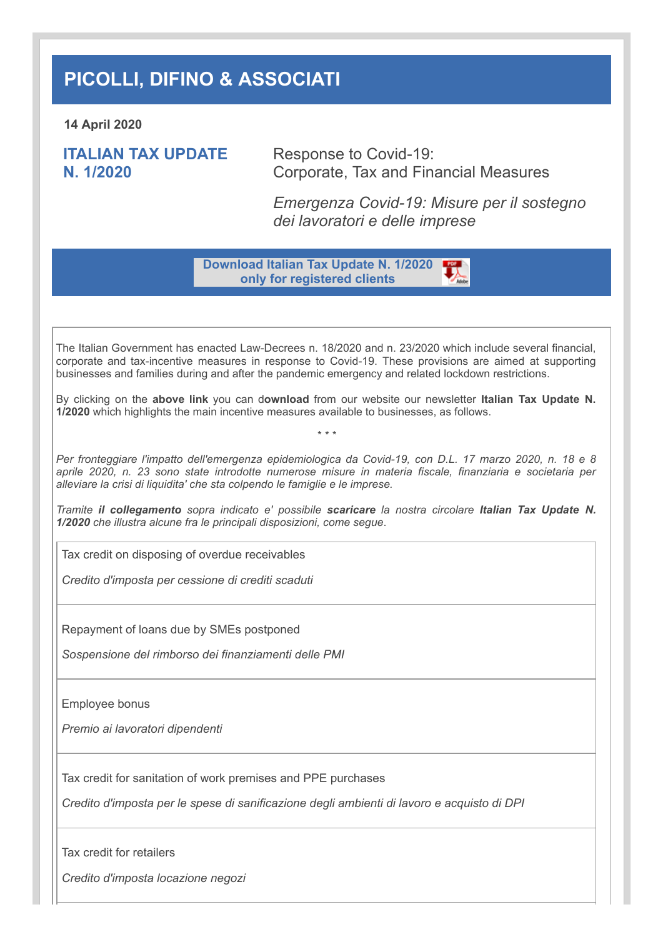## **PICOLLI, DIFINO & ASSOCIATI**

**14 April 2020**

**ITALIAN TAX UPDATE N. 1/2020**

Response to Covid-19: Corporate, Tax and Financial Measures

*Emergenza Covid-19: Misure per il sostegno dei lavoratori e delle imprese*

**Download Italian Tax Update N. 1/2020 only for registered clients**

The Italian Government has enacted Law-Decrees n. 18/2020 and n. 23/2020 which include several financial, corporate and tax-incentive measures in response to Covid-19. These provisions are aimed at supporting businesses and families during and after the pandemic emergency and related lockdown restrictions.

By clicking on the **above link** you can d**ownload** from our website our newsletter **Italian Tax Update N. 1/2020** which highlights the main incentive measures available to businesses, as follows.

*\* \* \**

*Per fronteggiare l'impatto dell'emergenza epidemiologica da Covid-19, con D.L. 17 marzo 2020, n. 18 e 8 aprile 2020, n. 23 sono state introdotte numerose misure in materia fiscale, finanziaria e societaria per alleviare la crisi di liquidita' che sta colpendo le famiglie e le imprese.* 

*Tramite il collegamento sopra indicato e' possibile scaricare la nostra circolare Italian Tax Update N. 1/2020 che illustra alcune fra le principali disposizioni, come segue*.

Tax credit on disposing of overdue receivables

*Credito d'imposta per cessione di crediti scaduti*

Repayment of loans due by SMEs postponed

*Sospensione del rimborso dei finanziamenti delle PMI*

Employee bonus

*Premio ai lavoratori dipendenti*

Tax credit for sanitation of work premises and PPE purchases

*Credito d'imposta per le spese di sanificazione degli ambienti di lavoro e acquisto di DPI*

Tax credit for retailers

*Credito d'imposta locazione negozi*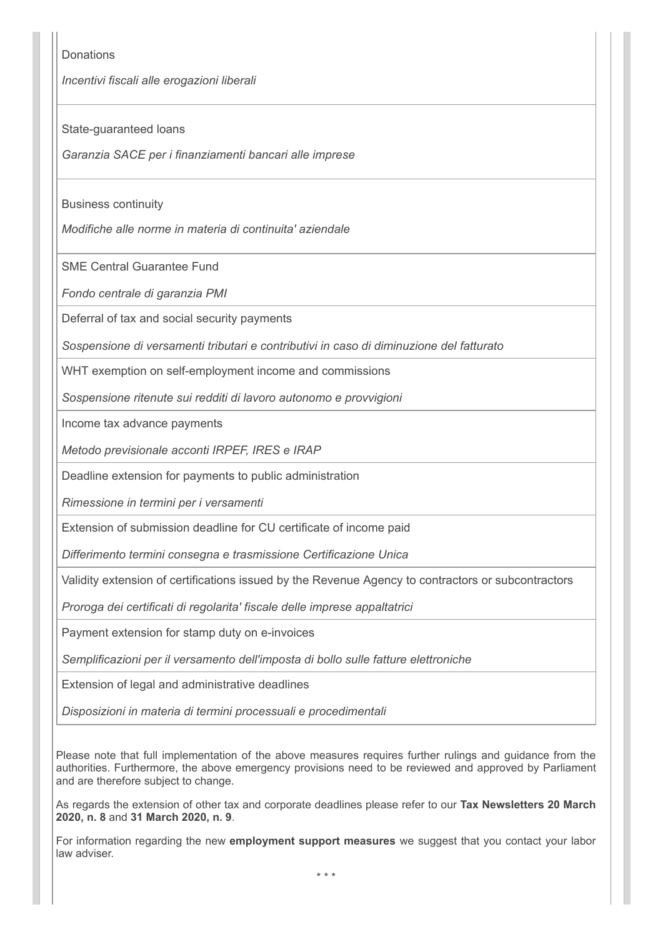**Donations** 

*Incentivi fiscali alle erogazioni liberali*

State-guaranteed loans

*Garanzia SACE per i finanziamenti bancari alle imprese*

Business continuity

*Modifiche alle norme in materia di continuita' aziendale*

SME Central Guarantee Fund

*Fondo centrale di garanzia PMI*

Deferral of tax and social security payments

*Sospensione di versamenti tributari e contributivi in caso di diminuzione del fatturato*

WHT exemption on self-employment income and commissions

*Sospensione ritenute sui redditi di lavoro autonomo e provvigioni*

Income tax advance payments

*Metodo previsionale acconti IRPEF, IRES e IRAP*

Deadline extension for payments to public administration

*Rimessione in termini per i versamenti*

Extension of submission deadline for CU certificate of income paid

*Differimento termini consegna e trasmissione Certificazione Unica*

Validity extension of certifications issued by the Revenue Agency to contractors or subcontractors

*Proroga dei certificati di regolarita' fiscale delle imprese appaltatrici*

Payment extension for stamp duty on e-invoices

*Semplificazioni per il versamento dell'imposta di bollo sulle fatture elettroniche*

Extension of legal and administrative deadlines

*Disposizioni in materia di termini processuali e procedimentali*

Please note that full implementation of the above measures requires further rulings and guidance from the authorities. Furthermore, the above emergency provisions need to be reviewed and approved by Parliament and are therefore subject to change.

As regards the extension of other tax and corporate deadlines please refer to our **Tax Newsletters 20 March 2020, n. 8** and **31 March 2020, n. 9**.

For information regarding the new **employment support measures** we suggest that you contact your labor law adviser.